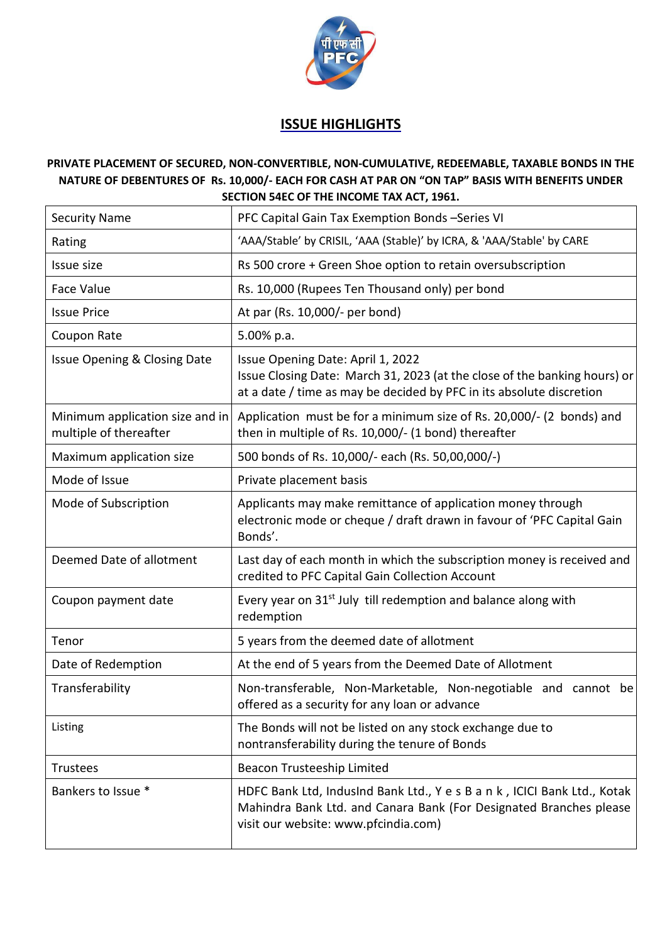

## **ISSUE HIGHLIGHTS**

## **PRIVATE PLACEMENT OF SECURED, NON-CONVERTIBLE, NON-CUMULATIVE, REDEEMABLE, TAXABLE BONDS IN THE NATURE OF DEBENTURES OF Rs. 10,000/- EACH FOR CASH AT PAR ON "ON TAP" BASIS WITH BENEFITS UNDER SECTION 54EC OF THE INCOME TAX ACT, 1961.**

| <b>Security Name</b>                                      | PFC Capital Gain Tax Exemption Bonds-Series VI                                                                                                                                         |
|-----------------------------------------------------------|----------------------------------------------------------------------------------------------------------------------------------------------------------------------------------------|
| Rating                                                    | 'AAA/Stable' by CRISIL, 'AAA (Stable)' by ICRA, & 'AAA/Stable' by CARE                                                                                                                 |
| Issue size                                                | Rs 500 crore + Green Shoe option to retain oversubscription                                                                                                                            |
| <b>Face Value</b>                                         | Rs. 10,000 (Rupees Ten Thousand only) per bond                                                                                                                                         |
| <b>Issue Price</b>                                        | At par (Rs. 10,000/- per bond)                                                                                                                                                         |
| Coupon Rate                                               | 5.00% p.a.                                                                                                                                                                             |
| Issue Opening & Closing Date                              | Issue Opening Date: April 1, 2022<br>Issue Closing Date: March 31, 2023 (at the close of the banking hours) or<br>at a date / time as may be decided by PFC in its absolute discretion |
| Minimum application size and in<br>multiple of thereafter | Application must be for a minimum size of Rs. 20,000/- (2 bonds) and<br>then in multiple of Rs. 10,000/- (1 bond) thereafter                                                           |
| Maximum application size                                  | 500 bonds of Rs. 10,000/- each (Rs. 50,00,000/-)                                                                                                                                       |
| Mode of Issue                                             | Private placement basis                                                                                                                                                                |
| Mode of Subscription                                      | Applicants may make remittance of application money through<br>electronic mode or cheque / draft drawn in favour of 'PFC Capital Gain<br>Bonds'.                                       |
| Deemed Date of allotment                                  | Last day of each month in which the subscription money is received and<br>credited to PFC Capital Gain Collection Account                                                              |
| Coupon payment date                                       | Every year on 31 <sup>st</sup> July till redemption and balance along with<br>redemption                                                                                               |
| Tenor                                                     | 5 years from the deemed date of allotment                                                                                                                                              |
| Date of Redemption                                        | At the end of 5 years from the Deemed Date of Allotment                                                                                                                                |
| Transferability                                           | Non-transferable, Non-Marketable, Non-negotiable and cannot be<br>offered as a security for any loan or advance                                                                        |
| Listing                                                   | The Bonds will not be listed on any stock exchange due to<br>nontransferability during the tenure of Bonds                                                                             |
| <b>Trustees</b>                                           | Beacon Trusteeship Limited                                                                                                                                                             |
| Bankers to Issue *                                        | HDFC Bank Ltd, IndusInd Bank Ltd., Y e s B a n k, ICICI Bank Ltd., Kotak<br>Mahindra Bank Ltd. and Canara Bank (For Designated Branches please<br>visit our website: www.pfcindia.com) |